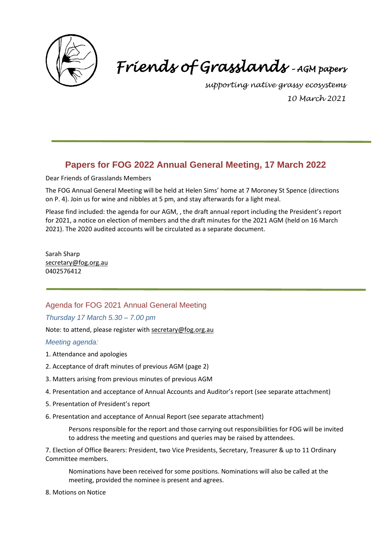

# *Friends of Grasslands – AGM papers*

*supporting native grassy ecosystems 10 March 2021*

# **Papers for FOG 2022 Annual General Meeting, 17 March 2022**

Dear Friends of Grasslands Members

The FOG Annual General Meeting will be held at Helen Sims' home at 7 Moroney St Spence (directions on P. 4). Join us for wine and nibbles at 5 pm, and stay afterwards for a light meal.

Please find included: the agenda for our AGM, , the draft annual report including the President's report for 2021, a notice on election of members and the draft minutes for the 2021 AGM (held on 16 March 2021). The 2020 audited accounts will be circulated as a separate document.

Sarah Sharp [secretary@fog.org.au](mailto:secretary@fog.org.au) 0402576412

## Agenda for FOG 2021 Annual General Meeting

#### *Thursday 17 March 5.30 – 7.00 pm*

Note: to attend, please register with [secretary@fog.org.au](mailto:secretary@fog.org.au)

*Meeting agenda:*

- 1. Attendance and apologies
- 2. Acceptance of draft minutes of previous AGM (page 2)
- 3. Matters arising from previous minutes of previous AGM
- 4. Presentation and acceptance of Annual Accounts and Auditor's report (see separate attachment)
- 5. Presentation of President's report
- 6. Presentation and acceptance of Annual Report (see separate attachment)

Persons responsible for the report and those carrying out responsibilities for FOG will be invited to address the meeting and questions and queries may be raised by attendees.

7. Election of Office Bearers: President, two Vice Presidents, Secretary, Treasurer & up to 11 Ordinary Committee members.

Nominations have been received for some positions. Nominations will also be called at the meeting, provided the nominee is present and agrees.

8. Motions on Notice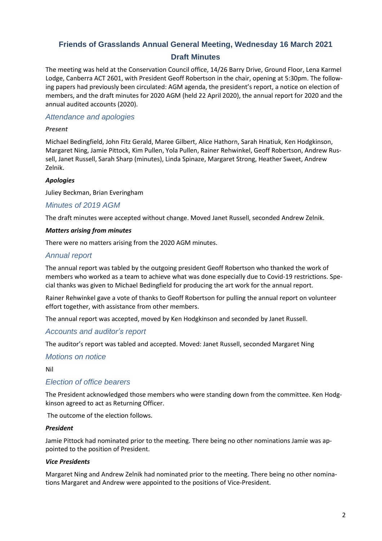## **Friends of Grasslands Annual General Meeting, Wednesday 16 March 2021 Draft Minutes**

The meeting was held at the Conservation Council office, 14/26 Barry Drive, Ground Floor, Lena Karmel Lodge, Canberra ACT 2601, with President Geoff Robertson in the chair, opening at 5:30pm. The following papers had previously been circulated: AGM agenda, the president's report, a notice on election of members, and the draft minutes for 2020 AGM (held 22 April 2020), the annual report for 2020 and the annual audited accounts (2020).

## *Attendance and apologies*

## *Present*

Michael Bedingfield, John Fitz Gerald, Maree Gilbert, Alice Hathorn, Sarah Hnatiuk, Ken Hodgkinson, Margaret Ning, Jamie Pittock, Kim Pullen, Yola Pullen, Rainer Rehwinkel, Geoff Robertson, Andrew Russell, Janet Russell, Sarah Sharp (minutes), Linda Spinaze, Margaret Strong, Heather Sweet, Andrew Zelnik.

## *Apologies*

Juliey Beckman, Brian Everingham

## *Minutes of 2019 AGM*

The draft minutes were accepted without change. Moved Janet Russell, seconded Andrew Zelnik.

#### *Matters arising from minutes*

There were no matters arising from the 2020 AGM minutes.

## *Annual report*

The annual report was tabled by the outgoing president Geoff Robertson who thanked the work of members who worked as a team to achieve what was done especially due to Covid-19 restrictions. Special thanks was given to Michael Bedingfield for producing the art work for the annual report.

Rainer Rehwinkel gave a vote of thanks to Geoff Robertson for pulling the annual report on volunteer effort together, with assistance from other members.

The annual report was accepted, moved by Ken Hodgkinson and seconded by Janet Russell.

## *Accounts and auditor's report*

The auditor's report was tabled and accepted. Moved: Janet Russell, seconded Margaret Ning

## *Motions on notice*

Nil

## *Election of office bearers*

The President acknowledged those members who were standing down from the committee. Ken Hodgkinson agreed to act as Returning Officer.

The outcome of the election follows.

#### *President*

Jamie Pittock had nominated prior to the meeting. There being no other nominations Jamie was appointed to the position of President.

#### *Vice Presidents*

Margaret Ning and Andrew Zelnik had nominated prior to the meeting. There being no other nominations Margaret and Andrew were appointed to the positions of Vice-President.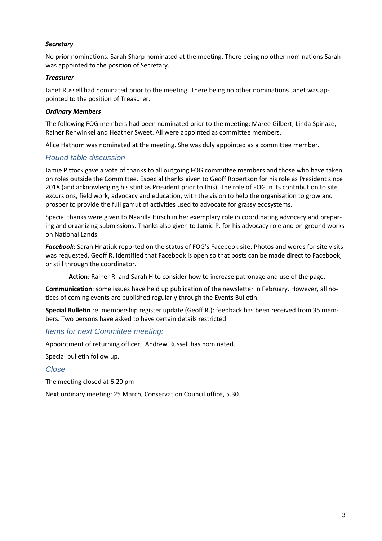#### *Secretary*

No prior nominations. Sarah Sharp nominated at the meeting. There being no other nominations Sarah was appointed to the position of Secretary.

#### *Treasurer*

Janet Russell had nominated prior to the meeting. There being no other nominations Janet was appointed to the position of Treasurer.

#### *Ordinary Members*

The following FOG members had been nominated prior to the meeting: Maree Gilbert, Linda Spinaze, Rainer Rehwinkel and Heather Sweet. All were appointed as committee members.

Alice Hathorn was nominated at the meeting. She was duly appointed as a committee member.

#### *Round table discussion*

Jamie Pittock gave a vote of thanks to all outgoing FOG committee members and those who have taken on roles outside the Committee. Especial thanks given to Geoff Robertson for his role as President since 2018 (and acknowledging his stint as President prior to this). The role of FOG in its contribution to site excursions, field work, advocacy and education, with the vision to help the organisation to grow and prosper to provide the full gamut of activities used to advocate for grassy ecosystems.

Special thanks were given to Naarilla Hirsch in her exemplary role in coordinating advocacy and preparing and organizing submissions. Thanks also given to Jamie P. for his advocacy role and on-ground works on National Lands.

*Facebook*: Sarah Hnatiuk reported on the status of FOG's Facebook site. Photos and words for site visits was requested. Geoff R. identified that Facebook is open so that posts can be made direct to Facebook, or still through the coordinator.

**Action**: Rainer R. and Sarah H to consider how to increase patronage and use of the page.

**Communication**: some issues have held up publication of the newsletter in February. However, all notices of coming events are published regularly through the Events Bulletin.

**Special Bulletin** re. membership register update (Geoff R.): feedback has been received from 35 members. Two persons have asked to have certain details restricted.

#### *Items for next Committee meeting:*

Appointment of returning officer; Andrew Russell has nominated.

Special bulletin follow up.

#### *Close*

The meeting closed at 6:20 pm

Next ordinary meeting: 25 March, Conservation Council office, 5.30.